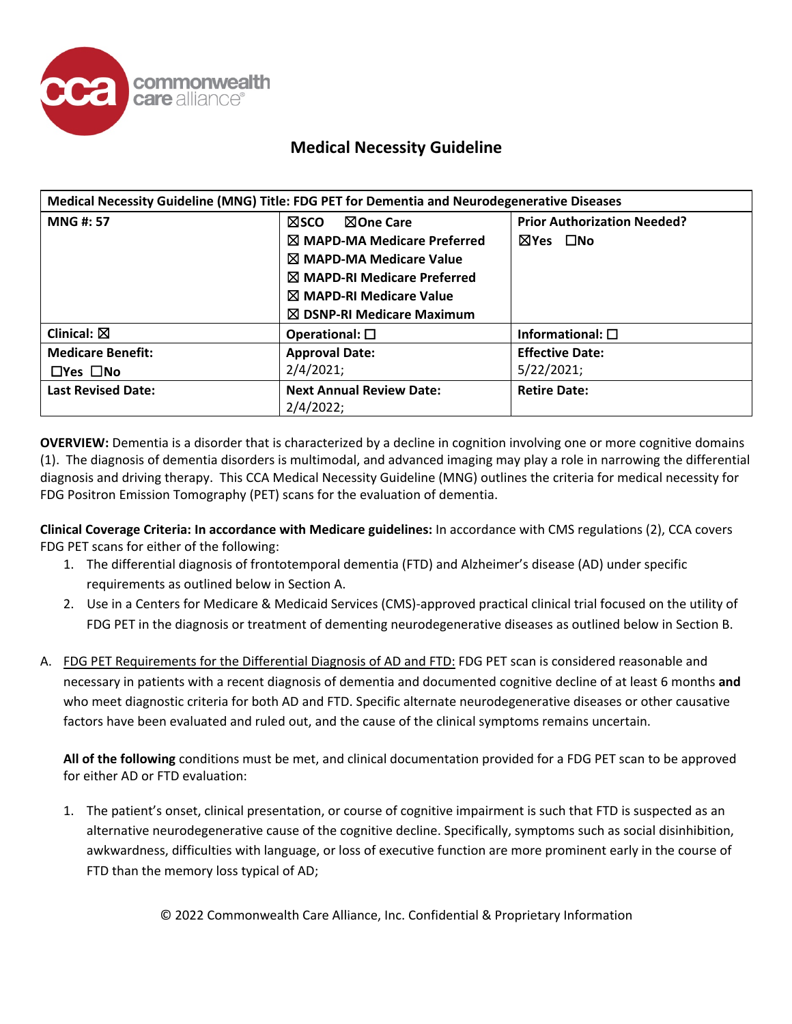

| Medical Necessity Guideline (MNG) Title: FDG PET for Dementia and Neurodegenerative Diseases |                                        |                                    |
|----------------------------------------------------------------------------------------------|----------------------------------------|------------------------------------|
| <b>MNG#: 57</b>                                                                              | <b>NOne Care</b><br>⊠sco               | <b>Prior Authorization Needed?</b> |
|                                                                                              | $\boxtimes$ MAPD-MA Medicare Preferred | ⊠Yes □No                           |
|                                                                                              | $\boxtimes$ MAPD-MA Medicare Value     |                                    |
|                                                                                              | $\boxtimes$ MAPD-RI Medicare Preferred |                                    |
|                                                                                              | $\boxtimes$ MAPD-RI Medicare Value     |                                    |
|                                                                                              | $\boxtimes$ DSNP-RI Medicare Maximum   |                                    |
| Clinical: $\boxtimes$                                                                        | Operational: $\square$                 | Informational: $\square$           |
| <b>Medicare Benefit:</b>                                                                     | <b>Approval Date:</b>                  | <b>Effective Date:</b>             |
| $\Box$ Yes $\Box$ No                                                                         | 2/4/2021;                              | 5/22/2021;                         |
| <b>Last Revised Date:</b>                                                                    | <b>Next Annual Review Date:</b>        | <b>Retire Date:</b>                |
|                                                                                              | 2/4/2022;                              |                                    |

**OVERVIEW:** Dementia is a disorder that is characterized by a decline in cognition involving one or more cognitive domains (1). The diagnosis of dementia disorders is multimodal, and advanced imaging may play a role in narrowing the differential diagnosis and driving therapy. This CCA Medical Necessity Guideline (MNG) outlines the criteria for medical necessity for FDG Positron Emission Tomography (PET) scans for the evaluation of dementia.

**Clinical Coverage Criteria: In accordance with Medicare guidelines:** In accordance with CMS regulations (2), CCA covers FDG PET scans for either of the following:

- 1. The differential diagnosis of frontotemporal dementia (FTD) and Alzheimer's disease (AD) under specific requirements as outlined below in Section A.
- 2. Use in a Centers for Medicare & Medicaid Services (CMS)-approved practical clinical trial focused on the utility of FDG PET in the diagnosis or treatment of dementing neurodegenerative diseases as outlined below in Section B.
- A. FDG PET Requirements for the Differential Diagnosis of AD and FTD: FDG PET scan is considered reasonable and necessary in patients with a recent diagnosis of dementia and documented cognitive decline of at least 6 months **and** who meet diagnostic criteria for both AD and FTD. Specific alternate neurodegenerative diseases or other causative factors have been evaluated and ruled out, and the cause of the clinical symptoms remains uncertain.

**All of the following** conditions must be met, and clinical documentation provided for a FDG PET scan to be approved for either AD or FTD evaluation:

1. The patient's onset, clinical presentation, or course of cognitive impairment is such that FTD is suspected as an alternative neurodegenerative cause of the cognitive decline. Specifically, symptoms such as social disinhibition, awkwardness, difficulties with language, or loss of executive function are more prominent early in the course of FTD than the memory loss typical of AD;

© 2022 Commonwealth Care Alliance, Inc. Confidential & Proprietary Information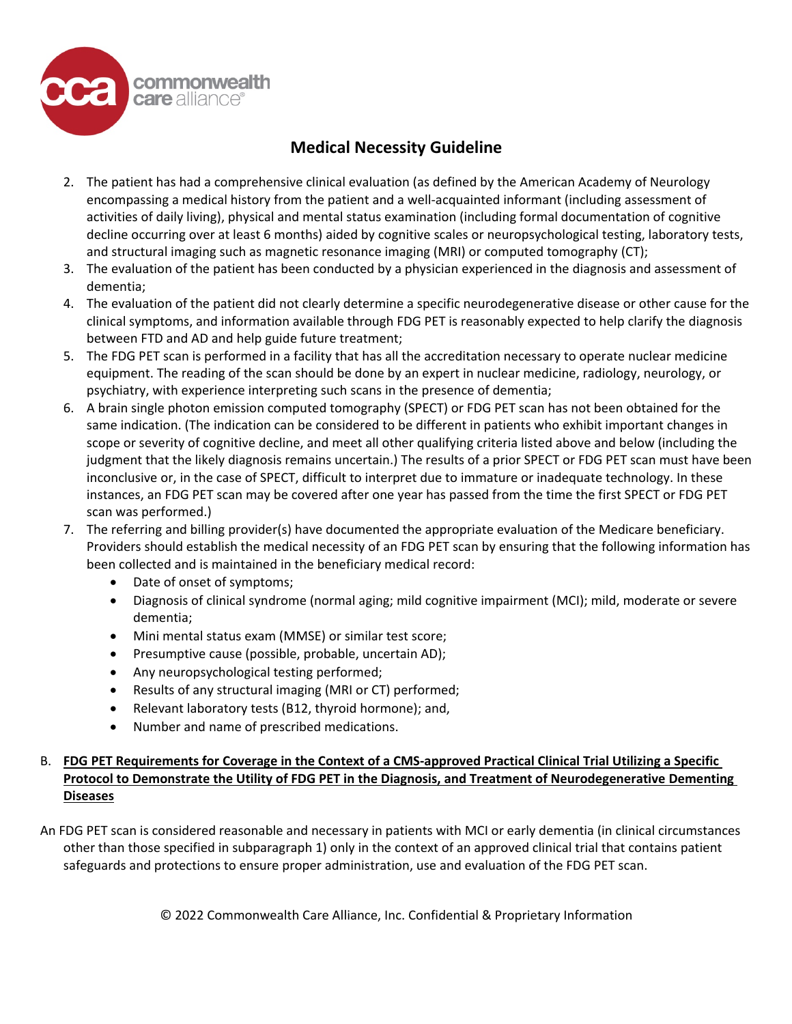

- 2. The patient has had a comprehensive clinical evaluation (as defined by the American Academy of Neurology encompassing a medical history from the patient and a well-acquainted informant (including assessment of activities of daily living), physical and mental status examination (including formal documentation of cognitive decline occurring over at least 6 months) aided by cognitive scales or neuropsychological testing, laboratory tests, and structural imaging such as magnetic resonance imaging (MRI) or computed tomography (CT);
- 3. The evaluation of the patient has been conducted by a physician experienced in the diagnosis and assessment of dementia;
- 4. The evaluation of the patient did not clearly determine a specific neurodegenerative disease or other cause for the clinical symptoms, and information available through FDG PET is reasonably expected to help clarify the diagnosis between FTD and AD and help guide future treatment;
- 5. The FDG PET scan is performed in a facility that has all the accreditation necessary to operate nuclear medicine equipment. The reading of the scan should be done by an expert in nuclear medicine, radiology, neurology, or psychiatry, with experience interpreting such scans in the presence of dementia;
- 6. A brain single photon emission computed tomography (SPECT) or FDG PET scan has not been obtained for the same indication. (The indication can be considered to be different in patients who exhibit important changes in scope or severity of cognitive decline, and meet all other qualifying criteria listed above and below (including the judgment that the likely diagnosis remains uncertain.) The results of a prior SPECT or FDG PET scan must have been inconclusive or, in the case of SPECT, difficult to interpret due to immature or inadequate technology. In these instances, an FDG PET scan may be covered after one year has passed from the time the first SPECT or FDG PET scan was performed.)
- 7. The referring and billing provider(s) have documented the appropriate evaluation of the Medicare beneficiary. Providers should establish the medical necessity of an FDG PET scan by ensuring that the following information has been collected and is maintained in the beneficiary medical record:
	- Date of onset of symptoms;
	- Diagnosis of clinical syndrome (normal aging; mild cognitive impairment (MCI); mild, moderate or severe dementia;
	- Mini mental status exam (MMSE) or similar test score;
	- Presumptive cause (possible, probable, uncertain AD);
	- Any neuropsychological testing performed;
	- Results of any structural imaging (MRI or CT) performed;
	- Relevant laboratory tests (B12, thyroid hormone); and,
	- Number and name of prescribed medications.

### B. **FDG PET Requirements for Coverage in the Context of a CMS-approved Practical Clinical Trial Utilizing a Specific Protocol to Demonstrate the Utility of FDG PET in the Diagnosis, and Treatment of Neurodegenerative Dementing Diseases**

An FDG PET scan is considered reasonable and necessary in patients with MCI or early dementia (in clinical circumstances other than those specified in subparagraph 1) only in the context of an approved clinical trial that contains patient safeguards and protections to ensure proper administration, use and evaluation of the FDG PET scan.

© 2022 Commonwealth Care Alliance, Inc. Confidential & Proprietary Information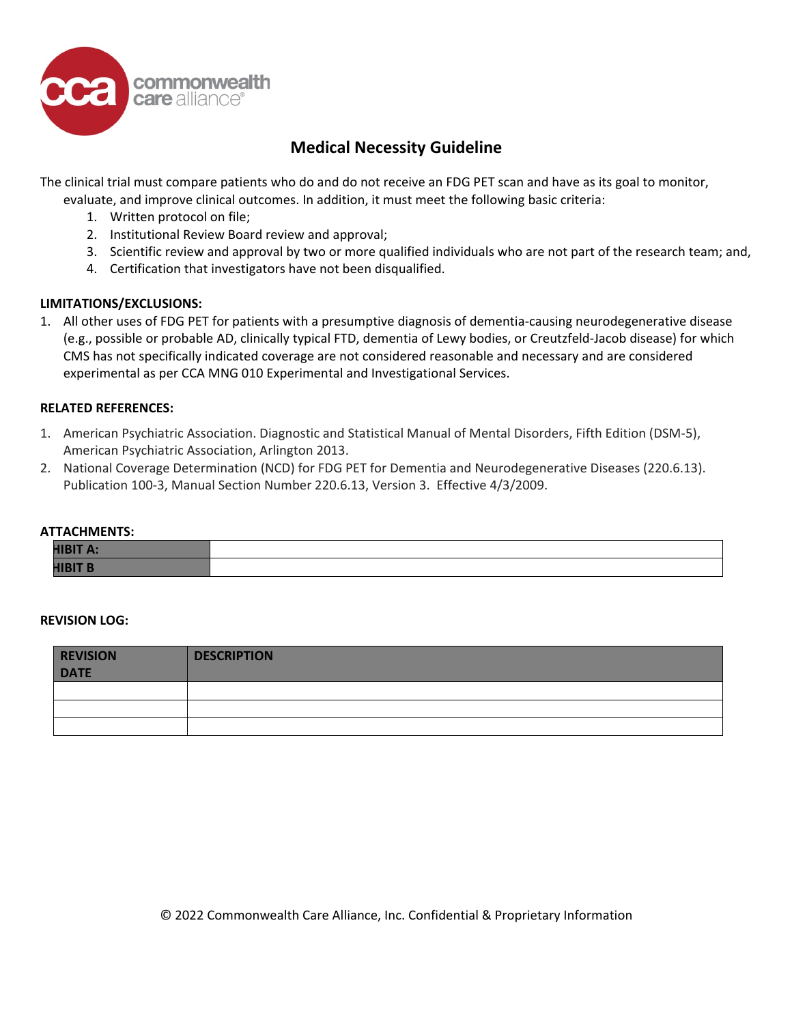

The clinical trial must compare patients who do and do not receive an FDG PET scan and have as its goal to monitor, evaluate, and improve clinical outcomes. In addition, it must meet the following basic criteria:

- 1. Written protocol on file;
- 2. Institutional Review Board review and approval;
- 3. Scientific review and approval by two or more qualified individuals who are not part of the research team; and,
- 4. Certification that investigators have not been disqualified.

#### **LIMITATIONS/EXCLUSIONS:**

1. All other uses of FDG PET for patients with a presumptive diagnosis of dementia-causing neurodegenerative disease (e.g., possible or probable AD, clinically typical FTD, dementia of Lewy bodies, or Creutzfeld-Jacob disease) for which CMS has not specifically indicated coverage are not considered reasonable and necessary and are considered experimental as per CCA MNG 010 Experimental and Investigational Services.

#### **RELATED REFERENCES:**

- 1. American Psychiatric Association. Diagnostic and Statistical Manual of Mental Disorders, Fifth Edition (DSM-5), American Psychiatric Association, Arlington 2013.
- 2. National Coverage Determination (NCD) for FDG PET for Dementia and Neurodegenerative Diseases (220.6.13). Publication 100-3, Manual Section Number 220.6.13, Version 3. Effective 4/3/2009.

#### **ATTACHMENTS:**

| <b>HIBIT A:</b> |  |
|-----------------|--|
| <b>HIBIT B</b>  |  |

#### **REVISION LOG:**

| <b>REVISION</b><br><b>DATE</b> | <b>DESCRIPTION</b> |
|--------------------------------|--------------------|
|                                |                    |
|                                |                    |
|                                |                    |